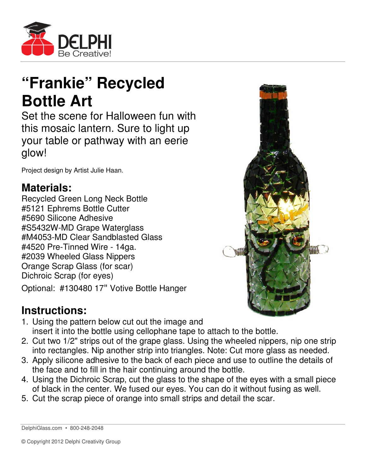

## **"Frankie" Recycled Bottle Art**

Set the scene for Halloween fun with this mosaic lantern. Sure to light up your table or pathway with an eerie glow!

Project design by Artist Julie Haan.

## **Materials:**

Recycled Green Long Neck Bottle #5121 Ephrems Bottle Cutter #5690 Silicone Adhesive #S5432W-MD Grape Waterglass #M4053-MD Clear Sandblasted Glass #4520 Pre-Tinned Wire - 14ga. #2039 Wheeled Glass Nippers Orange Scrap Glass (for scar) Dichroic Scrap (for eyes)

Optional: #130480 17" Votive Bottle Hanger

## **Instructions:**

- 
- 1. Using the pattern below cut out the image and insert it into the bottle using cellophane tape to attach to the bottle.
- 2. Cut two 1/2" strips out of the grape glass. Using the wheeled nippers, nip one strip into rectangles. Nip another strip into triangles. Note: Cut more glass as needed.
- 3. Apply silicone adhesive to the back of each piece and use to outline the details of the face and to fill in the hair continuing around the bottle.
- 4. Using the Dichroic Scrap, cut the glass to the shape of the eyes with a small piece of black in the center. We fused our eyes. You can do it without fusing as well.
- 5. Cut the scrap piece of orange into small strips and detail the scar.